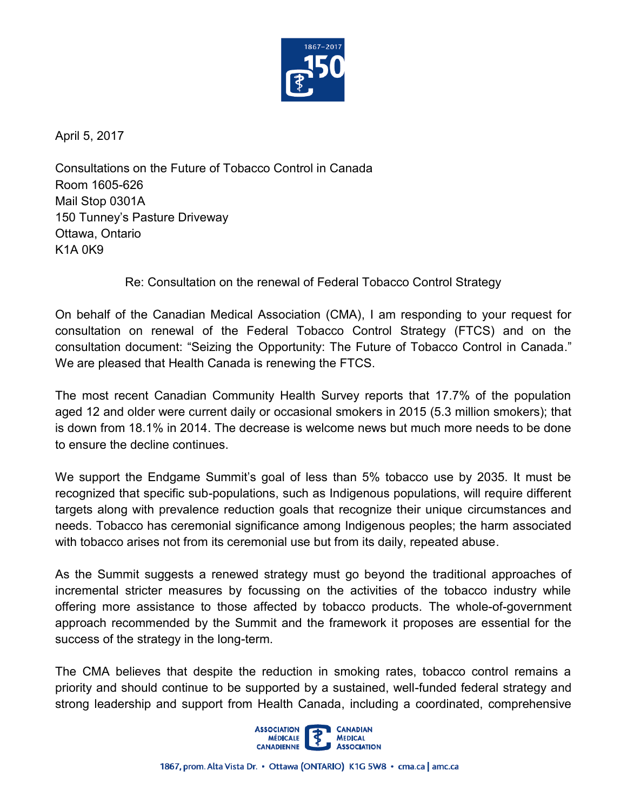

April 5, 2017

Consultations on the Future of Tobacco Control in Canada Room 1605-626 Mail Stop 0301A 150 Tunney's Pasture Driveway Ottawa, Ontario K1A 0K9

Re: Consultation on the renewal of Federal Tobacco Control Strategy

On behalf of the Canadian Medical Association (CMA), I am responding to your request for consultation on renewal of the Federal Tobacco Control Strategy (FTCS) and on the consultation document: "Seizing the Opportunity: The Future of Tobacco Control in Canada." We are pleased that Health Canada is renewing the FTCS.

The most recent Canadian Community Health Survey reports that 17.7% of the population aged 12 and older were current daily or occasional smokers in 2015 (5.3 million smokers); that is down from 18.1% in 2014. The decrease is welcome news but much more needs to be done to ensure the decline continues.

We support the Endgame Summit's goal of less than 5% tobacco use by 2035. It must be recognized that specific sub-populations, such as Indigenous populations, will require different targets along with prevalence reduction goals that recognize their unique circumstances and needs. Tobacco has ceremonial significance among Indigenous peoples; the harm associated with tobacco arises not from its ceremonial use but from its daily, repeated abuse.

As the Summit suggests a renewed strategy must go beyond the traditional approaches of incremental stricter measures by focussing on the activities of the tobacco industry while offering more assistance to those affected by tobacco products. The whole-of-government approach recommended by the Summit and the framework it proposes are essential for the success of the strategy in the long-term.

The CMA believes that despite the reduction in smoking rates, tobacco control remains a priority and should continue to be supported by a sustained, well-funded federal strategy and strong leadership and support from Health Canada, including a coordinated, comprehensive

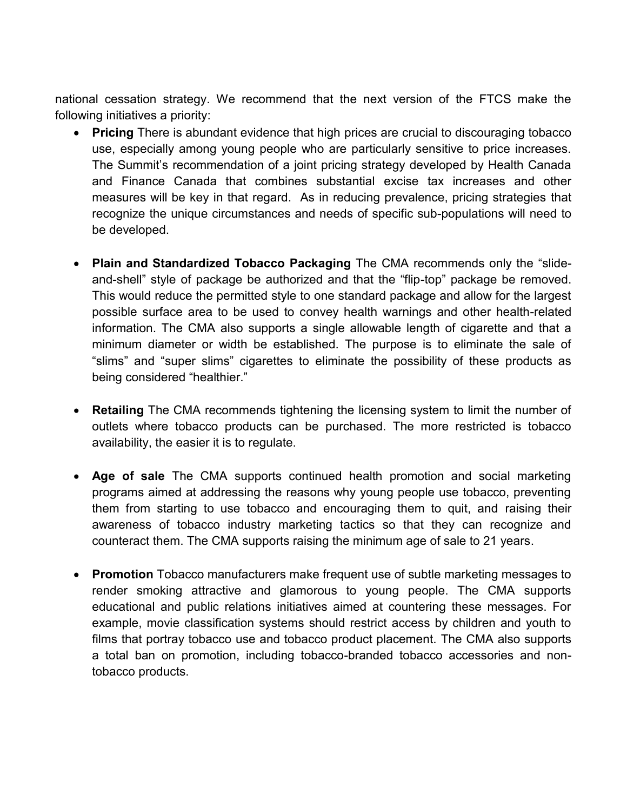national cessation strategy. We recommend that the next version of the FTCS make the following initiatives a priority:

- **Pricing** There is abundant evidence that high prices are crucial to discouraging tobacco use, especially among young people who are particularly sensitive to price increases. The Summit's recommendation of a joint pricing strategy developed by Health Canada and Finance Canada that combines substantial excise tax increases and other measures will be key in that regard. As in reducing prevalence, pricing strategies that recognize the unique circumstances and needs of specific sub-populations will need to be developed.
- **Plain and Standardized Tobacco Packaging** The CMA recommends only the "slideand-shell" style of package be authorized and that the "flip-top" package be removed. This would reduce the permitted style to one standard package and allow for the largest possible surface area to be used to convey health warnings and other health-related information. The CMA also supports a single allowable length of cigarette and that a minimum diameter or width be established. The purpose is to eliminate the sale of "slims" and "super slims" cigarettes to eliminate the possibility of these products as being considered "healthier."
- **Retailing** The CMA recommends tightening the licensing system to limit the number of outlets where tobacco products can be purchased. The more restricted is tobacco availability, the easier it is to regulate.
- **Age of sale** The CMA supports continued health promotion and social marketing programs aimed at addressing the reasons why young people use tobacco, preventing them from starting to use tobacco and encouraging them to quit, and raising their awareness of tobacco industry marketing tactics so that they can recognize and counteract them. The CMA supports raising the minimum age of sale to 21 years.
- render smoking attractive and glamorous to young people. The CMA supports educational and public relations initiatives aimed at countering these messages. For example, movie classification systems should restrict access by children and youth to films that portray tobacco use and tobacco product placement. The CMA also supports a total ban on promotion, including tobacco-branded tobacco accessories and non- **Promotion** Tobacco manufacturers make frequent use of subtle marketing messages to tobacco products.